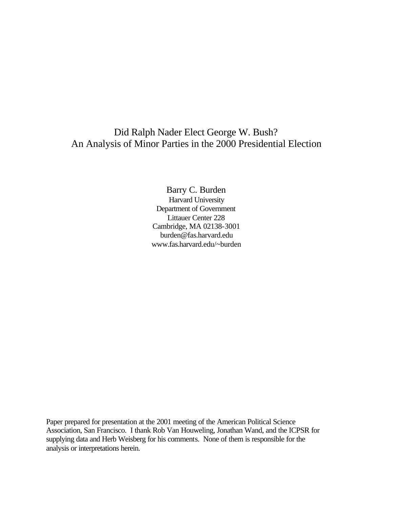# Did Ralph Nader Elect George W. Bush? An Analysis of Minor Parties in the 2000 Presidential Election

Barry C. Burden Harvard University Department of Government Littauer Center 228 Cambridge, MA 02138-3001 burden@fas.harvard.edu www.fas.harvard.edu/~burden

Paper prepared for presentation at the 2001 meeting of the American Political Science Association, San Francisco. I thank Rob Van Houweling, Jonathan Wand, and the ICPSR for supplying data and Herb Weisberg for his comments. None of them is responsible for the analysis or interpretations herein.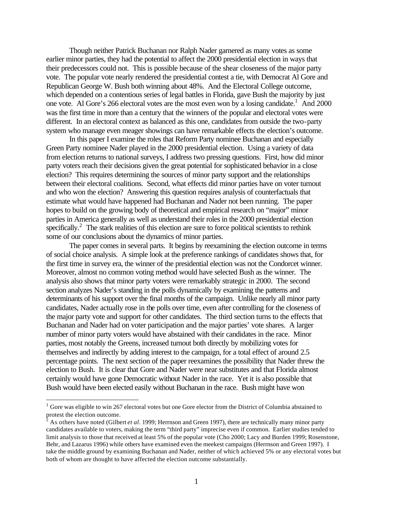Though neither Patrick Buchanan nor Ralph Nader garnered as many votes as some earlier minor parties, they had the potential to affect the 2000 presidential election in ways that their predecessors could not. This is possible because of the shear closeness of the major party vote. The popular vote nearly rendered the presidential contest a tie, with Democrat Al Gore and Republican George W. Bush both winning about 48%. And the Electoral College outcome, which depended on a contentious series of legal battles in Florida, gave Bush the majority by just one vote. Al Gore's 266 electoral votes are the most even won by a losing candidate.<sup>1</sup> And 2000 was the first time in more than a century that the winners of the popular and electoral votes were different. In an electoral context as balanced as this one, candidates from outside the two-party system who manage even meager showings can have remarkable effects the election's outcome.

In this paper I examine the roles that Reform Party nominee Buchanan and especially Green Party nominee Nader played in the 2000 presidential election. Using a variety of data from election returns to national surveys, I address two pressing questions. First, how did minor party voters reach their decisions given the great potential for sophisticated behavior in a close election? This requires determining the sources of minor party support and the relationships between their electoral coalitions. Second, what effects did minor parties have on voter turnout and who won the election? Answering this question requires analysis of counterfactuals that estimate what would have happened had Buchanan and Nader not been running. The paper hopes to build on the growing body of theoretical and empirical research on "major" minor parties in America generally as well as understand their roles in the 2000 presidential election specifically.<sup>2</sup> The stark realities of this election are sure to force political scientists to rethink some of our conclusions about the dynamics of minor parties.

The paper comes in several parts. It begins by reexamining the election outcome in terms of social choice analysis. A simple look at the preference rankings of candidates shows that, for the first time in survey era, the winner of the presidential election was not the Condorcet winner. Moreover, almost no common voting method would have selected Bush as the winner. The analysis also shows that minor party voters were remarkably strategic in 2000. The second section analyzes Nader's standing in the polls dynamically by examining the patterns and determinants of his support over the final months of the campaign. Unlike nearly all minor party candidates, Nader actually rose in the polls over time, even after controlling for the closeness of the major party vote and support for other candidates. The third section turns to the effects that Buchanan and Nader had on voter participation and the major parties' vote shares. A larger number of minor party voters would have abstained with their candidates in the race. Minor parties, most notably the Greens, increased turnout both directly by mobilizing votes for themselves and indirectly by adding interest to the campaign, for a total effect of around 2.5 percentage points. The next section of the paper reexamines the possibility that Nader threw the election to Bush. It is clear that Gore and Nader were near substitutes and that Florida almost certainly would have gone Democratic without Nader in the race. Yet it is also possible that Bush would have been elected easily without Buchanan in the race. Bush might have won

 $1$  Gore was eligible to win 267 electoral votes but one Gore elector from the District of Columbia abstained to

protest the election outcome. 2 As others have noted (Gilbert *et al*. 1999; Herrnson and Green 1997), there are technically many minor party candidates available to voters, making the term "third party" imprecise even if common. Earlier studies tended to limit analysis to those that received at least 5% of the popular vote (Cho 2000; Lacy and Burden 1999; Rosenstone, Behr, and Lazarus 1996) while others have examined even the meekest campaigns (Herrnson and Green 1997). I take the middle ground by examining Buchanan and Nader, neither of which achieved 5% or any electoral votes but both of whom are thought to have affected the election outcome substantially.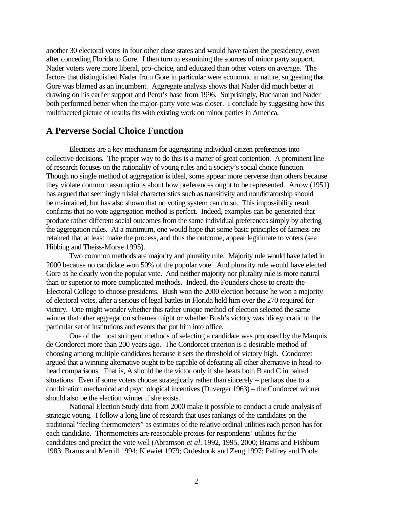another 30 electoral votes in four other close states and would have taken the presidency, even after conceding Florida to Gore. I then turn to examining the sources of minor party support. Nader voters were more liberal, pro-choice, and educated than other voters on average. The factors that distinguished Nader from Gore in particular were economic in nature, suggesting that Gore was blamed as an incumbent. Aggregate analysis shows that Nader did much better at drawing on his earlier support and Perot's base from 1996. Surprisingly, Buchanan and Nader both performed better when the major-party vote was closer. I conclude by suggesting how this multifaceted picture of results fits with existing work on minor parties in America.

# **A Perverse Social Choice Function**

Elections are a key mechanism for aggregating individual citizen preferences into collective decisions. The proper way to do this is a matter of great contention. A prominent line of research focuses on the rationality of voting rules and a society's social choice function. Though no single method of aggregation is ideal, some appear more perverse than others because they violate common assumptions about how preferences ought to be represented. Arrow (1951) has argued that seemingly trivial characteristics such as transitivity and nondictatorship should be maintained, but has also shown that no voting system can do so. This impossibility result confirms that no vote aggregation method is perfect. Indeed, examples can be generated that produce rather different social outcomes from the same individual preferences simply by altering the aggregation rules. At a minimum, one would hope that some basic principles of fairness are retained that at least make the process, and thus the outcome, appear legitimate to voters (see Hibbing and Theiss-Morse 1995).

Two common methods are majority and plurality rule. Majority rule would have failed in 2000 because no candidate won 50% of the popular vote. And plurality rule would have elected Gore as he clearly won the popular vote. And neither majority nor plurality rule is more natural than or superior to more complicated methods. Indeed, the Founders chose to create the Electoral College to choose presidents. Bush won the 2000 election because he won a majority of electoral votes, after a serious of legal battles in Florida held him over the 270 required for victory. One might wonder whether this rather unique method of election selected the same winner that other aggregation schemes might or whether Bush's victory was idiosyncratic to the particular set of institutions and events that put him into office.

One of the most stringent methods of selecting a candidate was proposed by the Marquis de Condorcet more than 200 years ago. The Condorcet criterion is a desirable method of choosing among multiple candidates because it sets the threshold of victory high. Condorcet argued that a winning alternative ought to be capable of defeating all other alternative in head-tohead comparisons. That is, A should be the victor only if she beats both B and C in paired situations. Even if some voters choose strategically rather than sincerely – perhaps due to a combination mechanical and psychological incentives (Duverger 1963) – the Condorcet winner should also be the election winner if she exists.

National Election Study data from 2000 make it possible to conduct a crude analysis of strategic voting. I follow a long line of research that uses rankings of the candidates on the traditional "feeling thermometers" as estimates of the relative ordinal utilities each person has for each candidate. Thermometers are reasonable proxies for respondents' utilities for the candidates and predict the vote well (Abramson *et al*. 1992, 1995, 2000; Brams and Fishburn 1983; Brams and Merrill 1994; Kiewiet 1979; Ordeshook and Zeng 1997; Palfrey and Poole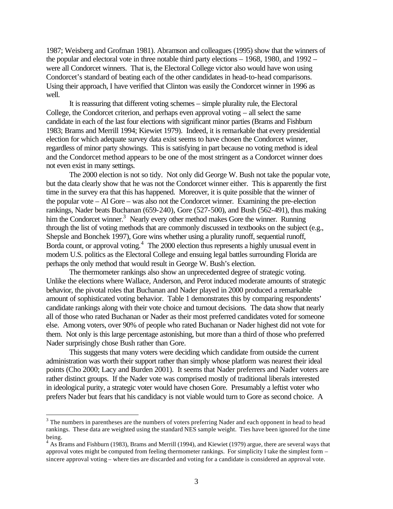1987; Weisberg and Grofman 1981). Abramson and colleagues (1995) show that the winners of the popular and electoral vote in three notable third party elections – 1968, 1980, and 1992 – were all Condorcet winners. That is, the Electoral College victor also would have won using Condorcet's standard of beating each of the other candidates in head-to-head comparisons. Using their approach, I have verified that Clinton was easily the Condorcet winner in 1996 as well.

It is reassuring that different voting schemes – simple plurality rule, the Electoral College, the Condorcet criterion, and perhaps even approval voting – all select the same candidate in each of the last four elections with significant minor parties (Brams and Fishburn 1983; Brams and Merrill 1994; Kiewiet 1979). Indeed, it is remarkable that every presidential election for which adequate survey data exist seems to have chosen the Condorcet winner, regardless of minor party showings. This is satisfying in part because no voting method is ideal and the Condorcet method appears to be one of the most stringent as a Condorcet winner does not even exist in many settings.

The 2000 election is not so tidy. Not only did George W. Bush not take the popular vote, but the data clearly show that he was not the Condorcet winner either. This is apparently the first time in the survey era that this has happened. Moreover, it is quite possible that the winner of the popular vote – Al Gore – was also not the Condorcet winner. Examining the pre-election rankings, Nader beats Buchanan (659-240), Gore (527-500), and Bush (562-491), thus making him the Condorcet winner.<sup>3</sup> Nearly every other method makes Gore the winner. Running through the list of voting methods that are commonly discussed in textbooks on the subject (e.g., Shepsle and Bonchek 1997), Gore wins whether using a plurality runoff, sequential runoff, Borda count, or approval voting.<sup>4</sup> The 2000 election thus represents a highly unusual event in modern U.S. politics as the Electoral College and ensuing legal battles surrounding Florida are perhaps the only method that would result in George W. Bush's election.

The thermometer rankings also show an unprecedented degree of strategic voting. Unlike the elections where Wallace, Anderson, and Perot induced moderate amounts of strategic behavior, the pivotal roles that Buchanan and Nader played in 2000 produced a remarkable amount of sophisticated voting behavior. Table 1 demonstrates this by comparing respondents' candidate rankings along with their vote choice and turnout decisions. The data show that nearly all of those who rated Buchanan or Nader as their most preferred candidates voted for someone else. Among voters, over 90% of people who rated Buchanan or Nader highest did not vote for them. Not only is this large percentage astonishing, but more than a third of those who preferred Nader surprisingly chose Bush rather than Gore.

This suggests that many voters were deciding which candidate from outside the current administration was worth their support rather than simply whose platform was nearest their ideal points (Cho 2000; Lacy and Burden 2001). It seems that Nader preferrers and Nader voters are rather distinct groups. If the Nader vote was comprised mostly of traditional liberals interested in ideological purity, a strategic voter would have chosen Gore. Presumably a leftist voter who prefers Nader but fears that his candidacy is not viable would turn to Gore as second choice. A

 $3$  The numbers in parentheses are the numbers of voters preferring Nader and each opponent in head to head rankings. These data are weighted using the standard NES sample weight. Ties have been ignored for the time being.

<sup>&</sup>lt;sup>4</sup> As Brams and Fishburn (1983), Brams and Merrill (1994), and Kiewiet (1979) argue, there are several ways that approval votes might be computed from feeling thermometer rankings. For simplicity I take the simplest form – sincere approval voting – where ties are discarded and voting for a candidate is considered an approval vote.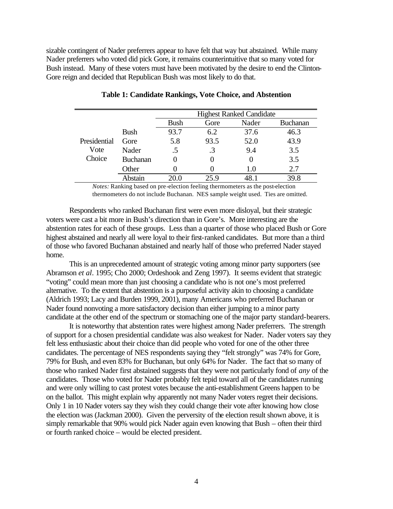sizable contingent of Nader preferrers appear to have felt that way but abstained. While many Nader preferrers who voted did pick Gore, it remains counterintuitive that so many voted for Bush instead. Many of these voters must have been motivated by the desire to end the Clinton-Gore reign and decided that Republican Bush was most likely to do that.

|                |                 |             |           | <b>Highest Ranked Candidate</b> |                 |
|----------------|-----------------|-------------|-----------|---------------------------------|-----------------|
|                |                 | <b>Bush</b> | Gore      | Nader                           | <b>Buchanan</b> |
|                | <b>Bush</b>     | 93.7        | 6.2       | 37.6                            | 46.3            |
| Presidential   | Gore            | 5.8         | 93.5      | 52.0                            | 43.9            |
| Vote<br>Choice | Nader           | .5          | $\cdot$ 3 | 9.4                             | 3.5             |
|                | <b>Buchanan</b> | 0           | 0         | 0                               | 3.5             |
|                | Other           |             |           | 1.0                             | 2.7             |
|                | Abstain         | 20.0        | 25 Q      |                                 | 39.8            |

### **Table 1: Candidate Rankings, Vote Choice, and Abstention**

*Notes:* Ranking based on pre-election feeling thermometers as the post-election thermometers do not include Buchanan. NES sample weight used. Ties are omitted.

Respondents who ranked Buchanan first were even more disloyal, but their strategic voters were cast a bit more in Bush's direction than in Gore's. More interesting are the abstention rates for each of these groups. Less than a quarter of those who placed Bush or Gore highest abstained and nearly all were loyal to their first-ranked candidates. But more than a third of those who favored Buchanan abstained and nearly half of those who preferred Nader stayed home.

This is an unprecedented amount of strategic voting among minor party supporters (see Abramson *et al*. 1995; Cho 2000; Ordeshook and Zeng 1997). It seems evident that strategic "voting" could mean more than just choosing a candidate who is not one's most preferred alternative. To the extent that abstention is a purposeful activity akin to choosing a candidate (Aldrich 1993; Lacy and Burden 1999, 2001), many Americans who preferred Buchanan or Nader found nonvoting a more satisfactory decision than either jumping to a minor party candidate at the other end of the spectrum or stomaching one of the major party standard-bearers.

It is noteworthy that abstention rates were highest among Nader preferrers. The strength of support for a chosen presidential candidate was also weakest for Nader. Nader voters say they felt less enthusiastic about their choice than did people who voted for one of the other three candidates. The percentage of NES respondents saying they "felt strongly" was 74% for Gore, 79% for Bush, and even 83% for Buchanan, but only 64% for Nader. The fact that so many of those who ranked Nader first abstained suggests that they were not particularly fond of *any* of the candidates. Those who voted for Nader probably felt tepid toward all of the candidates running and were only willing to cast protest votes because the anti-establishment Greens happen to be on the ballot. This might explain why apparently not many Nader voters regret their decisions. Only 1 in 10 Nader voters say they wish they could change their vote after knowing how close the election was (Jackman 2000). Given the perversity of the election result shown above, it is simply remarkable that 90% would pick Nader again even knowing that Bush – often their third or fourth ranked choice – would be elected president.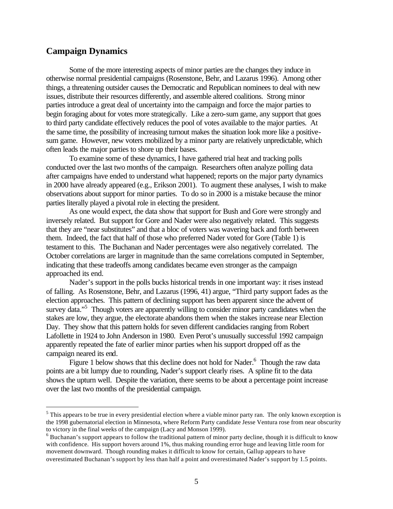# **Campaign Dynamics**

 $\overline{a}$ 

Some of the more interesting aspects of minor parties are the changes they induce in otherwise normal presidential campaigns (Rosenstone, Behr, and Lazarus 1996). Among other things, a threatening outsider causes the Democratic and Republican nominees to deal with new issues, distribute their resources differently, and assemble altered coalitions. Strong minor parties introduce a great deal of uncertainty into the campaign and force the major parties to begin foraging about for votes more strategically. Like a zero-sum game, any support that goes to third party candidate effectively reduces the pool of votes available to the major parties. At the same time, the possibility of increasing turnout makes the situation look more like a positivesum game. However, new voters mobilized by a minor party are relatively unpredictable, which often leads the major parties to shore up their bases.

To examine some of these dynamics, I have gathered trial heat and tracking polls conducted over the last two months of the campaign. Researchers often analyze polling data after campaigns have ended to understand what happened; reports on the major party dynamics in 2000 have already appeared (e.g., Erikson 2001). To augment these analyses, I wish to make observations about support for minor parties. To do so in 2000 is a mistake because the minor parties literally played a pivotal role in electing the president.

As one would expect, the data show that support for Bush and Gore were strongly and inversely related. But support for Gore and Nader were also negatively related. This suggests that they are "near substitutes" and that a bloc of voters was wavering back and forth between them. Indeed, the fact that half of those who preferred Nader voted for Gore (Table 1) is testament to this. The Buchanan and Nader percentages were also negatively correlated. The October correlations are larger in magnitude than the same correlations computed in September, indicating that these tradeoffs among candidates became even stronger as the campaign approached its end.

Nader's support in the polls bucks historical trends in one important way: it rises instead of falling. As Rosenstone, Behr, and Lazarus (1996, 41) argue, "Third party support fades as the election approaches. This pattern of declining support has been apparent since the advent of survey data."<sup>5</sup> Though voters are apparently willing to consider minor party candidates when the stakes are low, they argue, the electorate abandons them when the stakes increase near Election Day. They show that this pattern holds for seven different candidacies ranging from Robert Lafollette in 1924 to John Anderson in 1980. Even Perot's unusually successful 1992 campaign apparently repeated the fate of earlier minor parties when his support dropped off as the campaign neared its end.

Figure 1 below shows that this decline does not hold for Nader.<sup>6</sup> Though the raw data points are a bit lumpy due to rounding, Nader's support clearly rises. A spline fit to the data shows the upturn well. Despite the variation, there seems to be about a percentage point increase over the last two months of the presidential campaign.

 $<sup>5</sup>$  This appears to be true in every presidential election where a viable minor party ran. The only known exception is</sup> the 1998 gubernatorial election in Minnesota, where Reform Party candidate Jesse Ventura rose from near obscurity to victory in the final weeks of the campaign (Lacy and Monson 1999).

 $6$  Buchanan's support appears to follow the traditional pattern of minor party decline, though it is difficult to know with confidence. His support hovers around 1%, thus making rounding error huge and leaving little room for movement downward. Though rounding makes it difficult to know for certain, Gallup appears to have overestimated Buchanan's support by less than half a point and overestimated Nader's support by 1.5 points.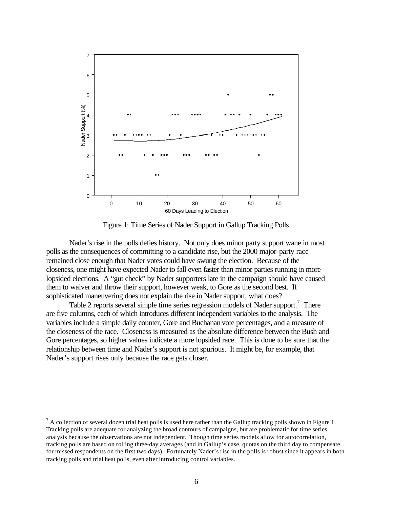

Figure 1: Time Series of Nader Support in Gallup Tracking Polls

Nader's rise in the polls defies history. Not only does minor party support wane in most polls as the consequences of committing to a candidate rise, but the 2000 major-party race remained close enough that Nader votes could have swung the election. Because of the closeness, one might have expected Nader to fall even faster than minor parties running in more lopsided elections. A "gut check" by Nader supporters late in the campaign should have caused them to waiver and throw their support, however weak, to Gore as the second best. If sophisticated maneuvering does not explain the rise in Nader support, what does?

Table 2 reports several simple time series regression models of Nader support.<sup>7</sup> There are five columns, each of which introduces different independent variables to the analysis. The variables include a simple daily counter, Gore and Buchanan vote percentages, and a measure of the closeness of the race. Closeness is measured as the absolute difference between the Bush and Gore percentages, so higher values indicate a more lopsided race. This is done to be sure that the relationship between time and Nader's support is not spurious. It might be, for example, that Nader's support rises only because the race gets closer.

 $^7$  A collection of several dozen trial heat polls is used here rather than the Gallup tracking polls shown in Figure 1. Tracking polls are adequate for analyzing the broad contours of campaigns, but are problematic for time series analysis because the observations are not independent. Though time series models allow for autocorrelation, tracking polls are based on rolling three-day averages (and in Gallup's case, quotas on the third day to compensate for missed respondents on the first two days). Fortunately Nader's rise in the polls is robust since it appears in both tracking polls and trial heat polls, even after introducing control variables.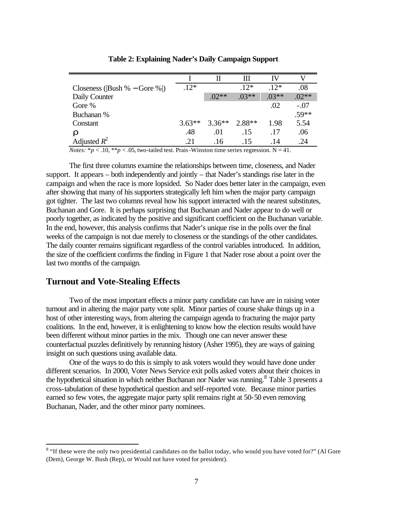|                             |          |          | Ш       | IV      |         |
|-----------------------------|----------|----------|---------|---------|---------|
| Closeness (Bush % – Gore %) | $.12*$   |          | $12*$   | $12*$   | .08     |
| Daily Counter               |          | $.02**$  | $.03**$ | $.03**$ | $.02**$ |
| Gore %                      |          |          |         | .02     | $-.07$  |
| Buchanan %                  |          |          |         |         | $.59**$ |
| Constant                    | $3.63**$ | $3.36**$ | 2.88**  | 1.98    | 5.54    |
| $\bm{r}$                    | .48      | .01      | .15     | .17     | .06     |
| Adjusted $R^2$              | .21      | .16      | .15     | .14     | .24     |

**Table 2: Explaining Nader's Daily Campaign Support**

*Notes:*  $* p < .10$ ,  $* p < .05$ , two-tailed test. Prais-Winston time series regression. N = 41.

The first three columns examine the relationships between time, closeness, and Nader support. It appears – both independently and jointly – that Nader's standings rise later in the campaign and when the race is more lopsided. So Nader does better later in the campaign, even after showing that many of his supporters strategically left him when the major party campaign got tighter. The last two columns reveal how his support interacted with the nearest substitutes, Buchanan and Gore. It is perhaps surprising that Buchanan and Nader appear to do well or poorly together, as indicated by the positive and significant coefficient on the Buchanan variable. In the end, however, this analysis confirms that Nader's unique rise in the polls over the final weeks of the campaign is not due merely to closeness or the standings of the other candidates. The daily counter remains significant regardless of the control variables introduced. In addition, the size of the coefficient confirms the finding in Figure 1 that Nader rose about a point over the last two months of the campaign.

## **Turnout and Vote-Stealing Effects**

Two of the most important effects a minor party candidate can have are in raising voter turnout and in altering the major party vote split. Minor parties of course shake things up in a host of other interesting ways, from altering the campaign agenda to fracturing the major party coalitions. In the end, however, it is enlightening to know how the election results would have been different without minor parties in the mix. Though one can never answer these counterfactual puzzles definitively by rerunning history (Asher 1995), they are ways of gaining insight on such questions using available data.

One of the ways to do this is simply to ask voters would they would have done under different scenarios. In 2000, Voter News Service exit polls asked voters about their choices in the hypothetical situation in which neither Buchanan nor Nader was running.<sup>8</sup> Table 3 presents a cross-tabulation of these hypothetical question and self-reported vote. Because minor parties earned so few votes, the aggregate major party split remains right at 50-50 even removing Buchanan, Nader, and the other minor party nominees.

<sup>&</sup>lt;sup>8</sup> "If these were the only two presidential candidates on the ballot today, who would you have voted for?" (Al Gore (Dem), George W. Bush (Rep), or Would not have voted for president).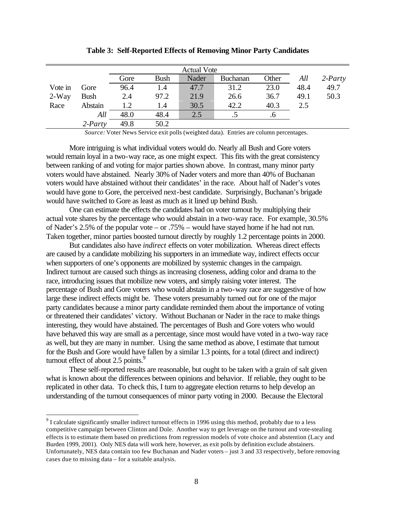|         |             | <b>Actual Vote</b> |             |       |                 |         |      |            |
|---------|-------------|--------------------|-------------|-------|-----------------|---------|------|------------|
|         |             | Gore               | <b>Bush</b> | Nader | <b>Buchanan</b> | Other   | All  | $2$ -Party |
| Vote in | Gore        | 96.4               | 1.4         | 47.7  | 31.2            | 23.0    | 48.4 | 49.7       |
| $2-Way$ | <b>Bush</b> | 2.4                | 97.2        | 21.9  | 26.6            | 36.7    | 49.1 | 50.3       |
| Race    | Abstain     | 1.2                | 1.4         | 30.5  | 42.2            | 40.3    | 2.5  |            |
|         | All         | 48.0               | 48.4        | 2.5   |                 | $\cdot$ |      |            |
|         | $2$ -Party  | 49.8               | 50.2        |       |                 |         |      |            |

**Table 3: Self-Reported Effects of Removing Minor Party Candidates**

*Source:* Voter News Service exit polls (weighted data). Entries are column percentages.

More intriguing is what individual voters would do. Nearly all Bush and Gore voters would remain loyal in a two-way race, as one might expect. This fits with the great consistency between ranking of and voting for major parties shown above. In contrast, many minor party voters would have abstained. Nearly 30% of Nader voters and more than 40% of Buchanan voters would have abstained without their candidates' in the race. About half of Nader's votes would have gone to Gore, the perceived next-best candidate. Surprisingly, Buchanan's brigade would have switched to Gore as least as much as it lined up behind Bush.

One can estimate the effects the candidates had on voter turnout by multiplying their actual vote shares by the percentage who would abstain in a two-way race. For example, 30.5% of Nader's 2.5% of the popular vote – or .75% – would have stayed home if he had not run. Taken together, minor parties boosted turnout directly by roughly 1.2 percentage points in 2000.

But candidates also have *indirect* effects on voter mobilization. Whereas direct effects are caused by a candidate mobilizing his supporters in an immediate way, indirect effects occur when supporters of one's opponents are mobilized by systemic changes in the campaign. Indirect turnout are caused such things as increasing closeness, adding color and drama to the race, introducing issues that mobilize new voters, and simply raising voter interest. The percentage of Bush and Gore voters who would abstain in a two-way race are suggestive of how large these indirect effects might be. These voters presumably turned out for one of the major party candidates because a minor party candidate reminded them about the importance of voting or threatened their candidates' victory. Without Buchanan or Nader in the race to make things interesting, they would have abstained. The percentages of Bush and Gore voters who would have behaved this way are small as a percentage, since most would have voted in a two-way race as well, but they are many in number. Using the same method as above, I estimate that turnout for the Bush and Gore would have fallen by a similar 1.3 points, for a total (direct and indirect) turnout effect of about  $2.5$  points.<sup>9</sup>

These self-reported results are reasonable, but ought to be taken with a grain of salt given what is known about the differences between opinions and behavior. If reliable, they ought to be replicated in other data. To check this, I turn to aggregate election returns to help develop an understanding of the turnout consequences of minor party voting in 2000. Because the Electoral

 $9<sup>9</sup>$  I calculate significantly smaller indirect turnout effects in 1996 using this method, probably due to a less competitive campaign between Clinton and Dole. Another way to get leverage on the turnout and vote-stealing effects is to estimate them based on predictions from regression models of vote choice and abstention (Lacy and Burden 1999, 2001). Only NES data will work here, however, as exit polls by definition exclude abstainers. Unfortunately, NES data contain too few Buchanan and Nader voters – just 3 and 33 respectively, before removing cases due to missing data – for a suitable analysis.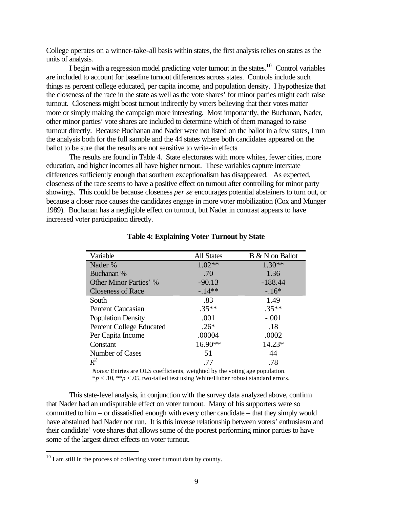College operates on a winner-take-all basis within states, the first analysis relies on states as the units of analysis.

I begin with a regression model predicting voter turnout in the states.<sup>10</sup> Control variables are included to account for baseline turnout differences across states. Controls include such things as percent college educated, per capita income, and population density. I hypothesize that the closeness of the race in the state as well as the vote shares' for minor parties might each raise turnout. Closeness might boost turnout indirectly by voters believing that their votes matter more or simply making the campaign more interesting. Most importantly, the Buchanan, Nader, other minor parties' vote shares are included to determine which of them managed to raise turnout directly. Because Buchanan and Nader were not listed on the ballot in a few states, I run the analysis both for the full sample and the 44 states where both candidates appeared on the ballot to be sure that the results are not sensitive to write-in effects.

The results are found in Table 4. State electorates with more whites, fewer cities, more education, and higher incomes all have higher turnout. These variables capture interstate differences sufficiently enough that southern exceptionalism has disappeared. As expected, closeness of the race seems to have a positive effect on turnout after controlling for minor party showings. This could be because closeness *per se* encourages potential abstainers to turn out, or because a closer race causes the candidates engage in more voter mobilization (Cox and Munger 1989). Buchanan has a negligible effect on turnout, but Nader in contrast appears to have increased voter participation directly.

| Variable                        | <b>All States</b> | B & N on Ballot |
|---------------------------------|-------------------|-----------------|
| Nader %                         | $1.02**$          | $1.30**$        |
| Buchanan %                      | .70               | 1.36            |
| <b>Other Minor Parties' %</b>   | $-90.13$          | $-188.44$       |
| <b>Closeness of Race</b>        | $-14**$           | $-.16*$         |
| South                           | .83               | 1.49            |
| Percent Caucasian               | $.35**$           | $.35**$         |
| <b>Population Density</b>       | .001              | $-.001$         |
| <b>Percent College Educated</b> | $.26*$            | .18             |
| Per Capita Income               | .00004            | .0002           |
| Constant                        | 16.90**           | 14.23*          |
| Number of Cases                 | 51                | 44              |
| $R^2$                           | .77               | .78             |

#### **Table 4: Explaining Voter Turnout by State**

*Notes:* Entries are OLS coefficients, weighted by the voting age population.

 $*p < .10, **p < .05$ , two-tailed test using White/Huber robust standard errors.

This state-level analysis, in conjunction with the survey data analyzed above, confirm that Nader had an undisputable effect on voter turnout. Many of his supporters were so committed to him – or dissatisfied enough with every other candidate – that they simply would have abstained had Nader not run. It is this inverse relationship between voters' enthusiasm and their candidate' vote shares that allows some of the poorest performing minor parties to have some of the largest direct effects on voter turnout.

 $10$  I am still in the process of collecting voter turnout data by county.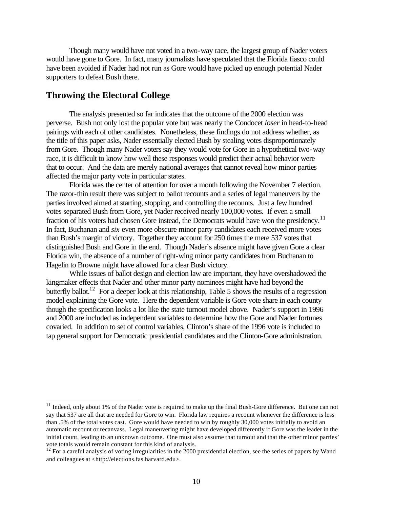Though many would have not voted in a two-way race, the largest group of Nader voters would have gone to Gore. In fact, many journalists have speculated that the Florida fiasco could have been avoided if Nader had not run as Gore would have picked up enough potential Nader supporters to defeat Bush there.

# **Throwing the Electoral College**

 $\overline{a}$ 

The analysis presented so far indicates that the outcome of the 2000 election was perverse. Bush not only lost the popular vote but was nearly the Condocet *loser* in head-to-head pairings with each of other candidates. Nonetheless, these findings do not address whether, as the title of this paper asks, Nader essentially elected Bush by stealing votes disproportionately from Gore. Though many Nader voters say they would vote for Gore in a hypothetical two-way race, it is difficult to know how well these responses would predict their actual behavior were that to occur. And the data are merely national averages that cannot reveal how minor parties affected the major party vote in particular states.

Florida was the center of attention for over a month following the November 7 election. The razor-thin result there was subject to ballot recounts and a series of legal maneuvers by the parties involved aimed at starting, stopping, and controlling the recounts. Just a few hundred votes separated Bush from Gore, yet Nader received nearly 100,000 votes. If even a small fraction of his voters had chosen Gore instead, the Democrats would have won the presidency.<sup>11</sup> In fact, Buchanan and *six* even more obscure minor party candidates each received more votes than Bush's margin of victory. Together they account for 250 times the mere 537 votes that distinguished Bush and Gore in the end. Though Nader's absence might have given Gore a clear Florida win, the absence of a number of right-wing minor party candidates from Buchanan to Hagelin to Browne might have allowed for a clear Bush victory.

While issues of ballot design and election law are important, they have overshadowed the kingmaker effects that Nader and other minor party nominees might have had beyond the butterfly ballot.<sup>12</sup> For a deeper look at this relationship, Table 5 shows the results of a regression model explaining the Gore vote. Here the dependent variable is Gore vote share in each county though the specification looks a lot like the state turnout model above. Nader's support in 1996 and 2000 are included as independent variables to determine how the Gore and Nader fortunes covaried. In addition to set of control variables, Clinton's share of the 1996 vote is included to tap general support for Democratic presidential candidates and the Clinton-Gore administration.

 $11$  Indeed, only about 1% of the Nader vote is required to make up the final Bush-Gore difference. But one can not say that 537 are all that are needed for Gore to win. Florida law requires a recount whenever the difference is less than .5% of the total votes cast. Gore would have needed to win by roughly 30,000 votes initially to avoid an automatic recount or recanvass. Legal maneuvering might have developed differently if Gore was the leader in the initial count, leading to an unknown outcome. One must also assume that turnout and that the other minor parties' vote totals would remain constant for this kind of analysis.

 $12$  For a careful analysis of voting irregularities in the 2000 presidential election, see the series of papers by Wand and colleagues at <http://elections.fas.harvard.edu>.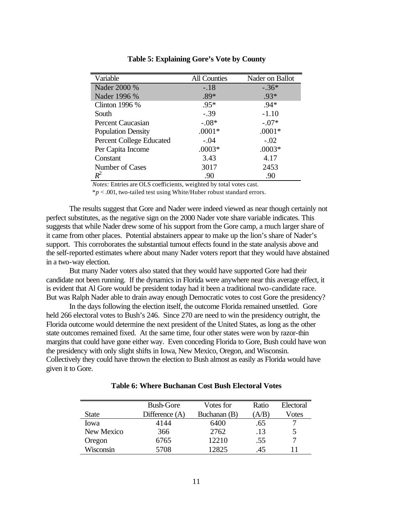| Variable                        | <b>All Counties</b> | Nader on Ballot |
|---------------------------------|---------------------|-----------------|
| Nader 2000 %                    | $-.18$              | $-.36*$         |
| Nader 1996 %                    | $.89*$              | $.93*$          |
| <b>Clinton 1996 %</b>           | $.95*$              | $.94*$          |
| South                           | $-.39$              | $-1.10$         |
| <b>Percent Caucasian</b>        | $-.08*$             | $-.07*$         |
| <b>Population Density</b>       | $.0001*$            | $.0001*$        |
| <b>Percent College Educated</b> | $-.04$              | $-.02$          |
| Per Capita Income               | $.0003*$            | $.0003*$        |
| Constant                        | 3.43                | 4.17            |
| Number of Cases                 | 3017                | 2453            |
| $R^2$                           | .90                 | .90             |

**Table 5: Explaining Gore's Vote by County**

*Notes:* Entries are OLS coefficients, weighted by total votes cast.

\**p* < .001, two-tailed test using White/Huber robust standard errors.

The results suggest that Gore and Nader were indeed viewed as near though certainly not perfect substitutes, as the negative sign on the 2000 Nader vote share variable indicates. This suggests that while Nader drew some of his support from the Gore camp, a much larger share of it came from other places. Potential abstainers appear to make up the lion's share of Nader's support. This corroborates the substantial turnout effects found in the state analysis above and the self-reported estimates where about many Nader voters report that they would have abstained in a two-way election.

But many Nader voters also stated that they would have supported Gore had their candidate not been running. If the dynamics in Florida were anywhere near this average effect, it is evident that Al Gore would be president today had it been a traditional two-candidate race. But was Ralph Nader able to drain away enough Democratic votes to cost Gore the presidency?

In the days following the election itself, the outcome Florida remained unsettled. Gore held 266 electoral votes to Bush's 246. Since 270 are need to win the presidency outright, the Florida outcome would determine the next president of the United States, as long as the other state outcomes remained fixed. At the same time, four other states were won by razor-thin margins that could have gone either way. Even conceding Florida to Gore, Bush could have won the presidency with only slight shifts in Iowa, New Mexico, Oregon, and Wisconsin. Collectively they could have thrown the election to Bush almost as easily as Florida would have given it to Gore.

|            | <b>Bush-Gore</b> | Votes for    | Ratio | Electoral |
|------------|------------------|--------------|-------|-----------|
| State      | Difference $(A)$ | Buchanan (B) | A/B   | Votes     |
| Iowa       | 4144             | 6400         | .65   |           |
| New Mexico | 366              | 2762         | .13   |           |
| Oregon     | 6765             | 12210        | .55   |           |
| Wisconsin  | 5708             | 12825        | .45   |           |

### **Table 6: Where Buchanan Cost Bush Electoral Votes**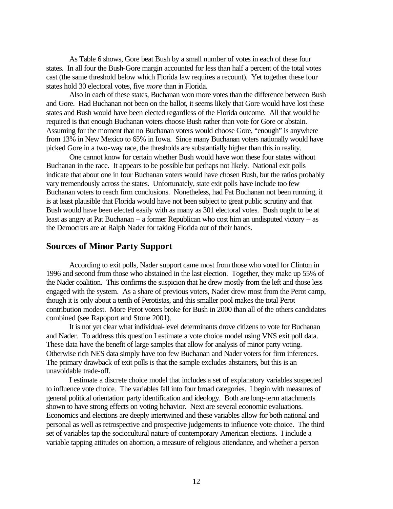As Table 6 shows, Gore beat Bush by a small number of votes in each of these four states. In all four the Bush-Gore margin accounted for less than half a percent of the total votes cast (the same threshold below which Florida law requires a recount). Yet together these four states hold 30 electoral votes, five *more* than in Florida.

Also in each of these states, Buchanan won more votes than the difference between Bush and Gore. Had Buchanan not been on the ballot, it seems likely that Gore would have lost these states and Bush would have been elected regardless of the Florida outcome. All that would be required is that enough Buchanan voters choose Bush rather than vote for Gore or abstain. Assuming for the moment that no Buchanan voters would choose Gore, "enough" is anywhere from 13% in New Mexico to 65% in Iowa. Since many Buchanan voters nationally would have picked Gore in a two-way race, the thresholds are substantially higher than this in reality.

One cannot know for certain whether Bush would have won these four states without Buchanan in the race. It appears to be possible but perhaps not likely. National exit polls indicate that about one in four Buchanan voters would have chosen Bush, but the ratios probably vary tremendously across the states. Unfortunately, state exit polls have include too few Buchanan voters to reach firm conclusions. Nonetheless, had Pat Buchanan not been running, it is at least plausible that Florida would have not been subject to great public scrutiny and that Bush would have been elected easily with as many as 301 electoral votes. Bush ought to be at least as angry at Pat Buchanan – a former Republican who cost him an undisputed victory – as the Democrats are at Ralph Nader for taking Florida out of their hands.

## **Sources of Minor Party Support**

According to exit polls, Nader support came most from those who voted for Clinton in 1996 and second from those who abstained in the last election. Together, they make up 55% of the Nader coalition. This confirms the suspicion that he drew mostly from the left and those less engaged with the system. As a share of previous voters, Nader drew most from the Perot camp, though it is only about a tenth of Perotistas, and this smaller pool makes the total Perot contribution modest. More Perot voters broke for Bush in 2000 than all of the others candidates combined (see Rapoport and Stone 2001).

It is not yet clear what individual-level determinants drove citizens to vote for Buchanan and Nader. To address this question I estimate a vote choice model using VNS exit poll data. These data have the benefit of large samples that allow for analysis of minor party voting. Otherwise rich NES data simply have too few Buchanan and Nader voters for firm inferences. The primary drawback of exit polls is that the sample excludes abstainers, but this is an unavoidable trade-off.

I estimate a discrete choice model that includes a set of explanatory variables suspected to influence vote choice. The variables fall into four broad categories. I begin with measures of general political orientation: party identification and ideology. Both are long-term attachments shown to have strong effects on voting behavior. Next are several economic evaluations. Economics and elections are deeply intertwined and these variables allow for both national and personal as well as retrospective and prospective judgements to influence vote choice. The third set of variables tap the sociocultural nature of contemporary American elections. I include a variable tapping attitudes on abortion, a measure of religious attendance, and whether a person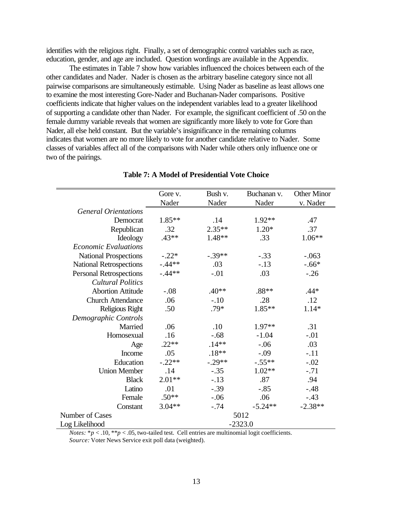identifies with the religious right. Finally, a set of demographic control variables such as race, education, gender, and age are included. Question wordings are available in the Appendix.

The estimates in Table 7 show how variables influenced the choices between each of the other candidates and Nader. Nader is chosen as the arbitrary baseline category since not all pairwise comparisons are simultaneously estimable. Using Nader as baseline as least allows one to examine the most interesting Gore-Nader and Buchanan-Nader comparisons. Positive coefficients indicate that higher values on the independent variables lead to a greater likelihood of supporting a candidate other than Nader. For example, the significant coefficient of .50 on the female dummy variable reveals that women are significantly more likely to vote for Gore than Nader, all else held constant. But the variable's insignificance in the remaining columns indicates that women are no more likely to vote for another candidate relative to Nader. Some classes of variables affect all of the comparisons with Nader while others only influence one or two of the pairings.

|                                | Gore v.   | Bush v.  | Buchanan v. | <b>Other Minor</b> |  |
|--------------------------------|-----------|----------|-------------|--------------------|--|
|                                | Nader     | Nader    | Nader       | v. Nader           |  |
| <b>General Orientations</b>    |           |          |             |                    |  |
| Democrat                       | 1.85**    | .14      | $1.92**$    | .47                |  |
| Republican                     | .32       | $2.35**$ | $1.20*$     | .37                |  |
| Ideology                       | $.43**$   | 1.48**   | .33         | $1.06**$           |  |
| <b>Economic Evaluations</b>    |           |          |             |                    |  |
| <b>National Prospections</b>   | $-.22*$   | $-.39**$ | $-.33$      | $-.063$            |  |
| <b>National Retrospections</b> | $-.44**$  | .03      | $-.13$      | $-.66*$            |  |
| <b>Personal Retrospections</b> | $-.44**$  | $-.01$   | .03         | $-.26$             |  |
| <b>Cultural Politics</b>       |           |          |             |                    |  |
| <b>Abortion Attitude</b>       | $-.08$    | $.40**$  | $.88**$     | $.44*$             |  |
| <b>Church Attendance</b>       | .06       | $-.10$   | .28         | .12                |  |
| Religious Right                | .50       | .79*     | $1.85**$    | $1.14*$            |  |
| Demographic Controls           |           |          |             |                    |  |
| Married                        | .06       | .10      | $1.97**$    | .31                |  |
| Homosexual                     | .16       | $-.68$   | $-1.04$     | $-.01$             |  |
| Age                            | $.22**$   | $.14**$  | $-.06$      | .03                |  |
| Income                         | .05       | $.18**$  | $-.09$      | $-.11$             |  |
| Education                      | $-.22**$  | $-.29**$ | $-.55**$    | $-.02$             |  |
| <b>Union Member</b>            | .14       | $-.35$   | $1.02**$    | $-.71$             |  |
| <b>Black</b>                   | $2.01**$  | $-.13$   | .87         | .94                |  |
| Latino                         | .01       | $-.39$   | $-.85$      | $-.48$             |  |
| Female                         | $.50**$   | $-.06$   | .06         | $-.43$             |  |
| Constant                       | $3.04**$  | $-.74$   | $-5.24**$   | $-2.38**$          |  |
| Number of Cases                | 5012      |          |             |                    |  |
| Log Likelihood                 | $-2323.0$ |          |             |                    |  |

#### **Table 7: A Model of Presidential Vote Choice**

*Notes:*  $* p < 0.10, ** p < 0.05$ , two-tailed test. Cell entries are multinomial logit coefficients. *Source:* Voter News Service exit poll data (weighted).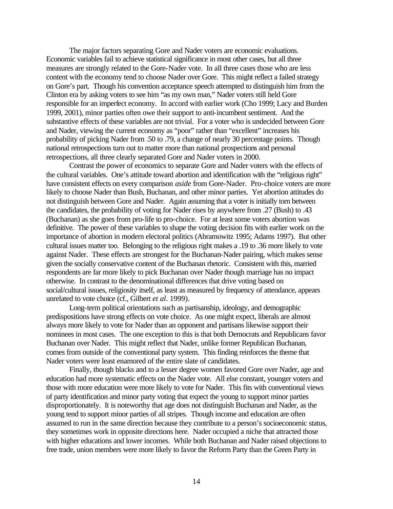The major factors separating Gore and Nader voters are economic evaluations. Economic variables fail to achieve statistical significance in most other cases, but all three measures are strongly related to the Gore-Nader vote. In all three cases those who are less content with the economy tend to choose Nader over Gore. This might reflect a failed strategy on Gore's part. Though his convention acceptance speech attempted to distinguish him from the Clinton era by asking voters to see him "as my own man," Nader voters still held Gore responsible for an imperfect economy. In accord with earlier work (Cho 1999; Lacy and Burden 1999, 2001), minor parties often owe their support to anti-incumbent sentiment. And the substantive effects of these variables are not trivial. For a voter who is undecided between Gore and Nader, viewing the current economy as "poor" rather than "excellent" increases his probability of picking Nader from .50 to .79, a change of nearly 30 percentage points. Though national retrospections turn out to matter more than national prospections and personal retrospections, all three clearly separated Gore and Nader voters in 2000.

Contrast the power of economics to separate Gore and Nader voters with the effects of the cultural variables. One's attitude toward abortion and identification with the "religious right" have consistent effects on every comparison *aside* from Gore-Nader. Pro-choice voters are more likely to choose Nader than Bush, Buchanan, and other minor parties. Yet abortion attitudes do not distinguish between Gore and Nader. Again assuming that a voter is initially torn between the candidates, the probability of voting for Nader rises by anywhere from .27 (Bush) to .43 (Buchanan) as she goes from pro-life to pro-choice. For at least some voters abortion was definitive. The power of these variables to shape the voting decision fits with earlier work on the importance of abortion in modern electoral politics (Abramowitz 1995; Adams 1997). But other cultural issues matter too. Belonging to the religious right makes a .19 to .36 more likely to vote against Nader. These effects are strongest for the Buchanan-Nader pairing, which makes sense given the socially conservative content of the Buchanan rhetoric. Consistent with this, married respondents are far more likely to pick Buchanan over Nader though marriage has no impact otherwise. In contrast to the denominational differences that drive voting based on social/cultural issues, religiosity itself, as least as measured by frequency of attendance, appears unrelated to vote choice (cf., Gilbert *et al*. 1999).

Long-term political orientations such as partisanship, ideology, and demographic predispositions have strong effects on vote choice. As one might expect, liberals are almost always more likely to vote for Nader than an opponent and partisans likewise support their nominees in most cases. The one exception to this is that both Democrats and Republicans favor Buchanan over Nader. This might reflect that Nader, unlike former Republican Buchanan, comes from outside of the conventional party system. This finding reinforces the theme that Nader voters were least enamored of the entire slate of candidates.

Finally, though blacks and to a lesser degree women favored Gore over Nader, age and education had more systematic effects on the Nader vote. All else constant, younger voters and those with more education were more likely to vote for Nader. This fits with conventional views of party identification and minor party voting that expect the young to support minor parties disproportionately. It is noteworthy that age does not distinguish Buchanan and Nader, as the young tend to support minor parties of all stripes. Though income and education are often assumed to run in the same direction because they contribute to a person's socioeconomic status, they sometimes work in opposite directions here. Nader occupied a niche that attracted those with higher educations and lower incomes. While both Buchanan and Nader raised objections to free trade, union members were more likely to favor the Reform Party than the Green Party in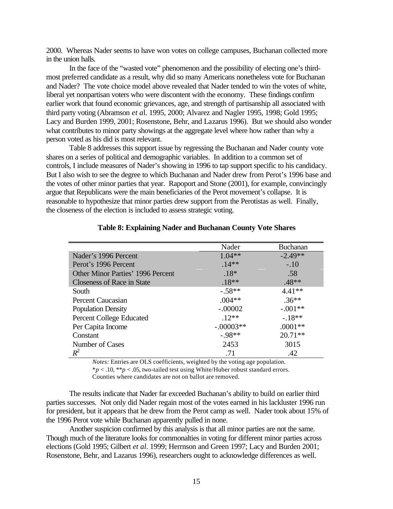2000. Whereas Nader seems to have won votes on college campuses, Buchanan collected more in the union halls.

In the face of the "wasted vote" phenomenon and the possibility of electing one's thirdmost preferred candidate as a result, why did so many Americans nonetheless vote for Buchanan and Nader? The vote choice model above revealed that Nader tended to win the votes of white, liberal yet nonpartisan voters who were discontent with the economy. These findings confirm earlier work that found economic grievances, age, and strength of partisanship all associated with third party voting (Abramson *et a*l. 1995, 2000; Alvarez and Nagler 1995, 1998; Gold 1995; Lacy and Burden 1999, 2001; Rosenstone, Behr, and Lazarus 1996). But we should also wonder what contributes to minor party showings at the aggregate level where how rather than why a person voted as his did is most relevant.

Table 8 addresses this support issue by regressing the Buchanan and Nader county vote shares on a series of political and demographic variables. In addition to a common set of controls, I include measures of Nader's showing in 1996 to tap support specific to his candidacy. But I also wish to see the degree to which Buchanan and Nader drew from Perot's 1996 base and the votes of other minor parties that year. Rapoport and Stone (2001), for example, convincingly argue that Republicans were the main beneficiaries of the Perot movement's collapse. It is reasonable to hypothesize that minor parties drew support from the Perotistas as well. Finally, the closeness of the election is included to assess strategic voting.

|                                          | Nader       | <b>Buchanan</b> |
|------------------------------------------|-------------|-----------------|
| Nader's 1996 Percent                     | $1.04**$    | $-2.49**$       |
| Perot's 1996 Percent                     | $.14**$     | $-.10$          |
| <b>Other Minor Parties' 1996 Percent</b> | $.18*$      | .58             |
| <b>Closeness of Race in State</b>        | $.18**$     | $.48**$         |
| South                                    | $-.58**$    | $4.41**$        |
| Percent Caucasian                        | $.004**$    | $.36**$         |
| <b>Population Density</b>                | $-.00002$   | $-.001**$       |
| <b>Percent College Educated</b>          | $.12**$     | $-.18**$        |
| Per Capita Income                        | $-.00003**$ | $.0001**$       |
| Constant                                 | $-.98**$    | $20.71**$       |
| Number of Cases                          | 2453        | 3015            |
| $R^2$                                    | .71         | .42             |

### **Table 8: Explaining Nader and Buchanan County Vote Shares**

*Notes:* Entries are OLS coefficients, weighted by the voting age population.  $*p < 0.10$ ,  $*p < 0.05$ , two-tailed test using White/Huber robust standard errors. Counties where candidates are not on ballot are removed.

The results indicate that Nader far exceeded Buchanan's ability to build on earlier third parties successes. Not only did Nader regain most of the votes earned in his lackluster 1996 run for president, but it appears that he drew from the Perot camp as well. Nader took about 15% of the 1996 Perot vote while Buchanan apparently pulled in none.

Another suspicion confirmed by this analysis is that all minor parties are not the same. Though much of the literature looks for commonalties in voting for different minor parties across elections (Gold 1995; Gilbert *et al*. 1999; Herrnson and Green 1997; Lacy and Burden 2001; Rosenstone, Behr, and Lazarus 1996), researchers ought to acknowledge differences as well.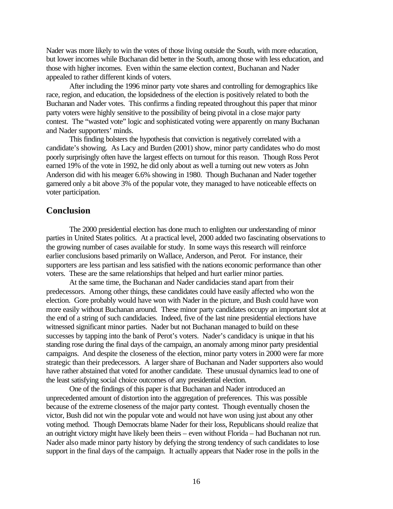Nader was more likely to win the votes of those living outside the South, with more education, but lower incomes while Buchanan did better in the South, among those with less education, and those with higher incomes. Even within the same election context, Buchanan and Nader appealed to rather different kinds of voters.

After including the 1996 minor party vote shares and controlling for demographics like race, region, and education, the lopsidedness of the election is positively related to both the Buchanan and Nader votes. This confirms a finding repeated throughout this paper that minor party voters were highly sensitive to the possibility of being pivotal in a close major party contest. The "wasted vote" logic and sophisticated voting were apparently on many Buchanan and Nader supporters' minds.

This finding bolsters the hypothesis that conviction is negatively correlated with a candidate's showing. As Lacy and Burden (2001) show, minor party candidates who do most poorly surprisingly often have the largest effects on turnout for this reason. Though Ross Perot earned 19% of the vote in 1992, he did only about as well a turning out new voters as John Anderson did with his meager 6.6% showing in 1980. Though Buchanan and Nader together garnered only a bit above 3% of the popular vote, they managed to have noticeable effects on voter participation.

# **Conclusion**

The 2000 presidential election has done much to enlighten our understanding of minor parties in United States politics. At a practical level, 2000 added two fascinating observations to the growing number of cases available for study. In some ways this research will reinforce earlier conclusions based primarily on Wallace, Anderson, and Perot. For instance, their supporters are less partisan and less satisfied with the nations economic performance than other voters. These are the same relationships that helped and hurt earlier minor parties.

At the same time, the Buchanan and Nader candidacies stand apart from their predecessors. Among other things, these candidates could have easily affected who won the election. Gore probably would have won with Nader in the picture, and Bush could have won more easily without Buchanan around. These minor party candidates occupy an important slot at the end of a string of such candidacies. Indeed, five of the last nine presidential elections have witnessed significant minor parties. Nader but not Buchanan managed to build on these successes by tapping into the bank of Perot's voters. Nader's candidacy is unique in that his standing rose during the final days of the campaign, an anomaly among minor party presidential campaigns. And despite the closeness of the election, minor party voters in 2000 were far more strategic than their predecessors. A larger share of Buchanan and Nader supporters also would have rather abstained that voted for another candidate. These unusual dynamics lead to one of the least satisfying social choice outcomes of any presidential election.

One of the findings of this paper is that Buchanan and Nader introduced an unprecedented amount of distortion into the aggregation of preferences. This was possible because of the extreme closeness of the major party contest. Though eventually chosen the victor, Bush did not win the popular vote and would not have won using just about any other voting method. Though Democrats blame Nader for their loss, Republicans should realize that an outright victory might have likely been theirs – even without Florida – had Buchanan not run. Nader also made minor party history by defying the strong tendency of such candidates to lose support in the final days of the campaign. It actually appears that Nader rose in the polls in the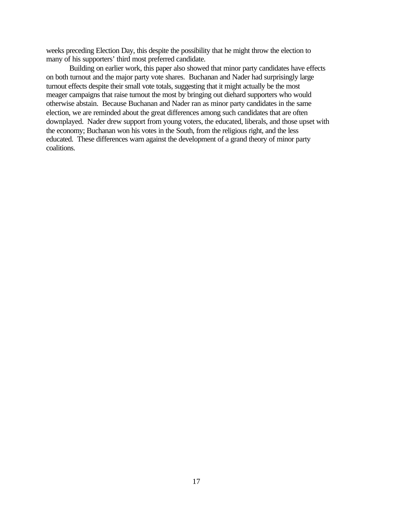weeks preceding Election Day, this despite the possibility that he might throw the election to many of his supporters' third most preferred candidate.

Building on earlier work, this paper also showed that minor party candidates have effects on both turnout and the major party vote shares. Buchanan and Nader had surprisingly large turnout effects despite their small vote totals, suggesting that it might actually be the most meager campaigns that raise turnout the most by bringing out diehard supporters who would otherwise abstain. Because Buchanan and Nader ran as minor party candidates in the same election, we are reminded about the great differences among such candidates that are often downplayed. Nader drew support from young voters, the educated, liberals, and those upset with the economy; Buchanan won his votes in the South, from the religious right, and the less educated. These differences warn against the development of a grand theory of minor party coalitions.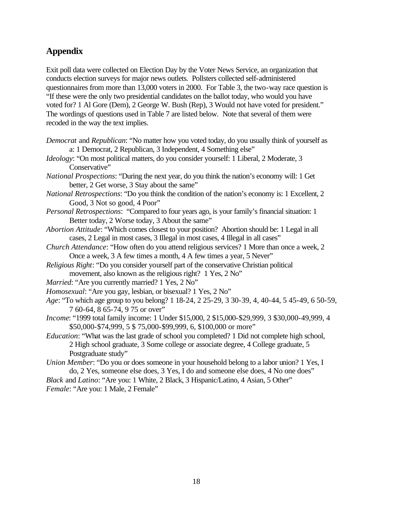# **Appendix**

Exit poll data were collected on Election Day by the Voter News Service, an organization that conducts election surveys for major news outlets. Pollsters collected self-administered questionnaires from more than 13,000 voters in 2000. For Table 3, the two-way race question is "If these were the only two presidential candidates on the ballot today, who would you have voted for? 1 Al Gore (Dem), 2 George W. Bush (Rep), 3 Would not have voted for president." The wordings of questions used in Table 7 are listed below. Note that several of them were recoded in the way the text implies.

- *Democrat* and *Republican*: "No matter how you voted today, do you usually think of yourself as a: 1 Democrat, 2 Republican, 3 Independent, 4 Something else"
- *Ideology*: "On most political matters, do you consider yourself: 1 Liberal, 2 Moderate, 3 Conservative"
- *National Prospections*: "During the next year, do you think the nation's economy will: 1 Get better, 2 Get worse, 3 Stay about the same"
- *National Retrospections*: "Do you think the condition of the nation's economy is: 1 Excellent, 2 Good, 3 Not so good, 4 Poor"
- *Personal Retrospections*: "Compared to four years ago, is your family's financial situation: 1 Better today, 2 Worse today, 3 About the same"
- *Abortion Attitude*: "Which comes closest to your position? Abortion should be: 1 Legal in all cases, 2 Legal in most cases, 3 Illegal in most cases, 4 Illegal in all cases"
- *Church Attendance*: "How often do you attend religious services? 1 More than once a week, 2 Once a week, 3 A few times a month, 4 A few times a year, 5 Never"
- *Religious Right*: "Do you consider yourself part of the conservative Christian political movement, also known as the religious right? 1 Yes, 2 No"
- *Married*: "Are you currently married? 1 Yes, 2 No"
- *Homosexual*: "Are you gay, lesbian, or bisexual? 1 Yes, 2 No"
- *Age*: "To which age group to you belong? 1 18-24, 2 25-29, 3 30-39, 4, 40-44, 5 45-49, 6 50-59, 7 60-64, 8 65-74, 9 75 or over"
- *Income*: "1999 total family income: 1 Under \$15,000, 2 \$15,000-\$29,999, 3 \$30,000-49,999, 4 \$50,000-\$74,999, 5 \$ 75,000-\$99,999, 6, \$100,000 or more"
- *Education*: "What was the last grade of school you completed? 1 Did not complete high school, 2 High school graduate, 3 Some college or associate degree, 4 College graduate, 5 Postgraduate study"
- *Union Member*: "Do you or does someone in your household belong to a labor union? 1 Yes, I do, 2 Yes, someone else does, 3 Yes, I do and someone else does, 4 No one does"
- *Black* and *Latino*: "Are you: 1 White, 2 Black, 3 Hispanic/Latino, 4 Asian, 5 Other" *Female*: "Are you: 1 Male, 2 Female"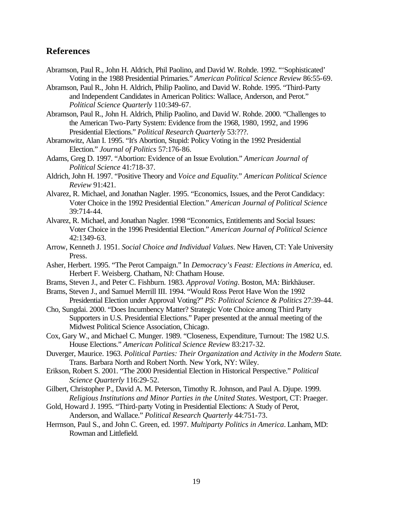# **References**

- Abramson, Paul R., John H. Aldrich, Phil Paolino, and David W. Rohde. 1992. "'Sophisticated' Voting in the 1988 Presidential Primaries." *American Political Science Review* 86:55-69.
- Abramson, Paul R., John H. Aldrich, Philip Paolino, and David W. Rohde. 1995. "Third-Party and Independent Candidates in American Politics: Wallace, Anderson, and Perot." *Political Science Quarterly* 110:349-67.
- Abramson, Paul R., John H. Aldrich, Philip Paolino, and David W. Rohde. 2000. "Challenges to the American Two-Party System: Evidence from the 1968, 1980, 1992, and 1996 Presidential Elections." *Political Research Quarterly* 53:???.
- Abramowitz, Alan I. 1995. "It's Abortion, Stupid: Policy Voting in the 1992 Presidential Election." *Journal of Politics* 57:176-86.
- Adams, Greg D. 1997. "Abortion: Evidence of an Issue Evolution." *American Journal of Political Science* 41:718-37.
- Aldrich, John H. 1997. "Positive Theory and *Voice and Equality*." *American Political Science Review* 91:421.
- Alvarez, R. Michael, and Jonathan Nagler. 1995. "Economics, Issues, and the Perot Candidacy: Voter Choice in the 1992 Presidential Election." *American Journal of Political Science* 39:714-44.
- Alvarez, R. Michael, and Jonathan Nagler. 1998 "Economics, Entitlements and Social Issues: Voter Choice in the 1996 Presidential Election." *American Journal of Political Science* 42:1349-63.
- Arrow, Kenneth J. 1951. *Social Choice and Individual Values*. New Haven, CT: Yale University Press.
- Asher, Herbert. 1995. "The Perot Campaign." In *Democracy's Feast: Elections in America*, ed. Herbert F. Weisberg. Chatham, NJ: Chatham House.
- Brams, Steven J., and Peter C. Fishburn. 1983. *Approval Voting*. Boston, MA: Birkhäuser.
- Brams, Steven J., and Samuel Merrill III. 1994. "Would Ross Perot Have Won the 1992 Presidential Election under Approval Voting?" *PS: Political Science & Politics* 27:39-44.
- Cho, Sungdai. 2000. "Does Incumbency Matter? Strategic Vote Choice among Third Party Supporters in U.S. Presidential Elections." Paper presented at the annual meeting of the Midwest Political Science Association, Chicago.
- Cox, Gary W., and Michael C. Munger. 1989. "Closeness, Expenditure, Turnout: The 1982 U.S. House Elections." *American Political Science Review* 83:217-32.
- Duverger, Maurice. 1963. *Political Parties: Their Organization and Activity in the Modern State*. Trans. Barbara North and Robert North. New York, NY: Wiley.
- Erikson, Robert S. 2001. "The 2000 Presidential Election in Historical Perspective." *Political Science Quarterly* 116:29-52.
- Gilbert, Christopher P., David A. M. Peterson, Timothy R. Johnson, and Paul A. Djupe. 1999. *Religious Institutions and Minor Parties in the United States*. Westport, CT: Praeger.
- Gold, Howard J. 1995. "Third-party Voting in Presidential Elections: A Study of Perot, Anderson, and Wallace." *Political Research Quarterly* 44:751-73.
- Herrnson, Paul S., and John C. Green, ed. 1997. *Multiparty Politics in America*. Lanham, MD: Rowman and Littlefield.